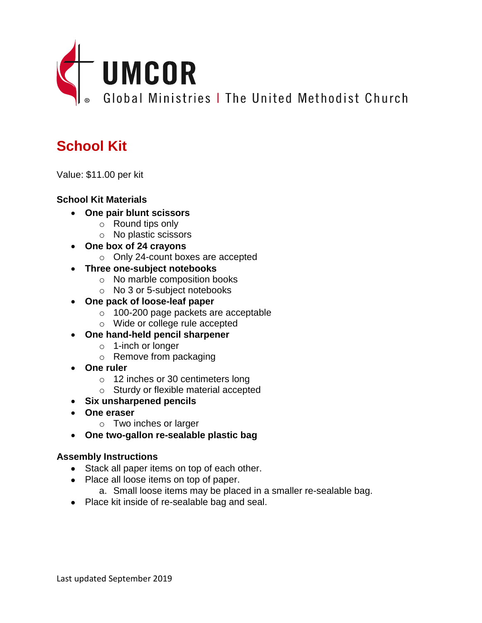

# **School Kit**

Value: \$11.00 per kit

## **School Kit Materials**

- **One pair blunt scissors**
	- o Round tips only
	- o No plastic scissors
- **One box of 24 crayons**
	- o Only 24-count boxes are accepted
- **Three one-subject notebooks**
	- o No marble composition books
	- o No 3 or 5-subject notebooks
- **One pack of loose-leaf paper**
	- o 100-200 page packets are acceptable
	- o Wide or college rule accepted
- **One hand-held pencil sharpener**
	- o 1-inch or longer
	- o Remove from packaging
- **One ruler**
	- o 12 inches or 30 centimeters long
	- o Sturdy or flexible material accepted
- **Six unsharpened pencils**
- **One eraser**
	- o Two inches or larger
- **One two-gallon re-sealable plastic bag**

### **Assembly Instructions**

- Stack all paper items on top of each other.
- Place all loose items on top of paper.
	- a. Small loose items may be placed in a smaller re-sealable bag.
- Place kit inside of re-sealable bag and seal.